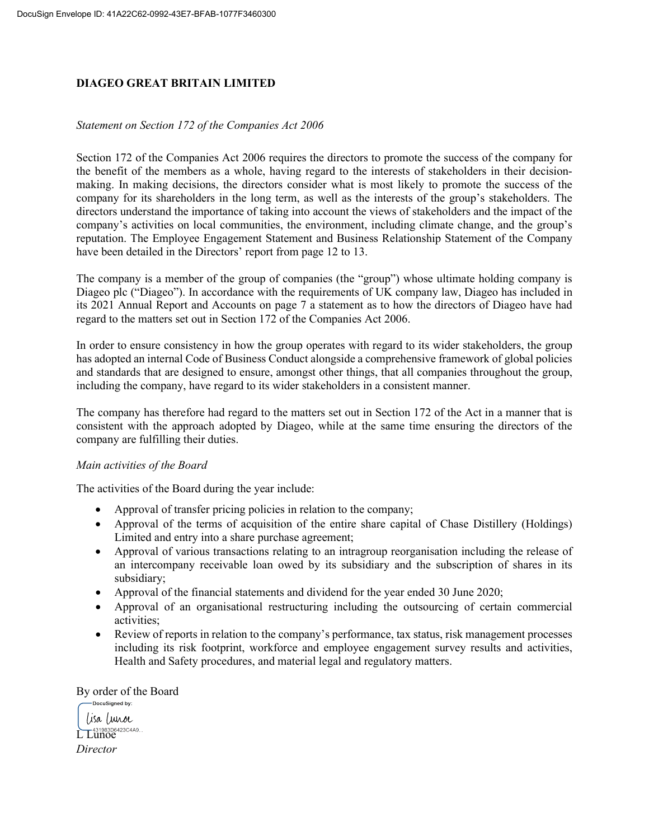## **DIAGEO GREAT BRITAIN LIMITED**

## *Statement on Section 172 of the Companies Act 2006*

Section 172 of the Companies Act 2006 requires the directors to promote the success of the company for the benefit of the members as a whole, having regard to the interests of stakeholders in their decisionmaking. In making decisions, the directors consider what is most likely to promote the success of the company for its shareholders in the long term, as well as the interests of the group's stakeholders. The directors understand the importance of taking into account the views of stakeholders and the impact of the company's activities on local communities, the environment, including climate change, and the group's reputation. The Employee Engagement Statement and Business Relationship Statement of the Company have been detailed in the Directors' report from page 12 to 13.

The company is a member of the group of companies (the "group") whose ultimate holding company is Diageo plc ("Diageo"). In accordance with the requirements of UK company law, Diageo has included in its 2021 Annual Report and Accounts on page 7 a statement as to how the directors of Diageo have had regard to the matters set out in Section 172 of the Companies Act 2006.

In order to ensure consistency in how the group operates with regard to its wider stakeholders, the group has adopted an internal Code of Business Conduct alongside a comprehensive framework of global policies and standards that are designed to ensure, amongst other things, that all companies throughout the group, including the company, have regard to its wider stakeholders in a consistent manner.

The company has therefore had regard to the matters set out in Section 172 of the Act in a manner that is consistent with the approach adopted by Diageo, while at the same time ensuring the directors of the company are fulfilling their duties.

## *Main activities of the Board*

The activities of the Board during the year include:

- Approval of transfer pricing policies in relation to the company;
- Approval of the terms of acquisition of the entire share capital of Chase Distillery (Holdings) Limited and entry into a share purchase agreement;
- Approval of various transactions relating to an intragroup reorganisation including the release of an intercompany receivable loan owed by its subsidiary and the subscription of shares in its subsidiary;
- Approval of the financial statements and dividend for the year ended 30 June 2020;
- Approval of an organisational restructuring including the outsourcing of certain commercial activities;
- Review of reports in relation to the company's performance, tax status, risk management processes including its risk footprint, workforce and employee engagement survey results and activities, Health and Safety procedures, and material legal and regulatory matters.

By order of the Board

-DocuSigned by: lisa lunoc L Lunoe *Director*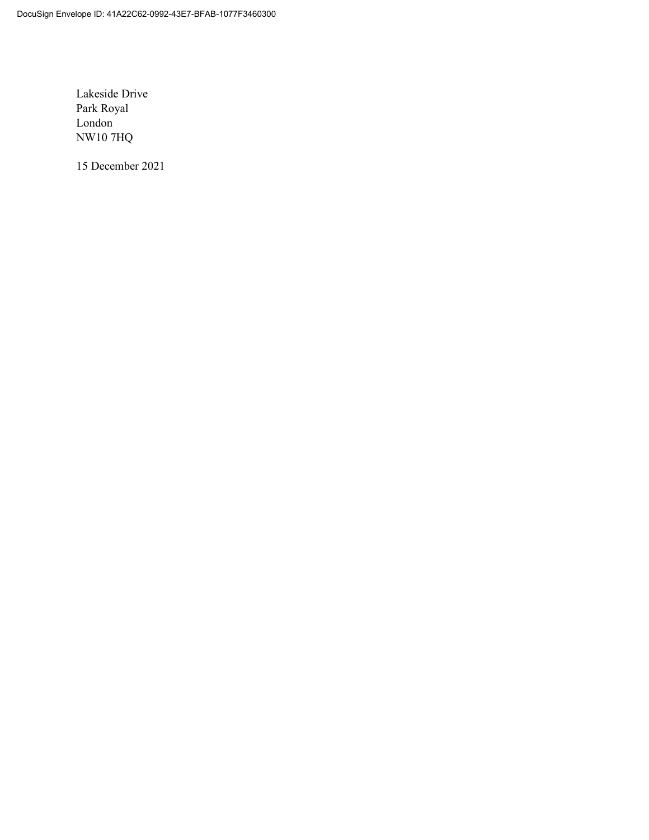Lakeside Drive Park Royal London NW10 7HQ

15 December 2021